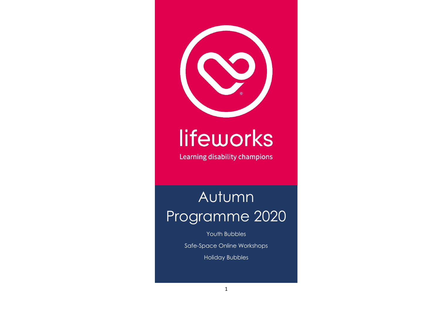

# lifeworks

Learning disability champions

# Autumn Programme 2020

Youth Bubbles

Safe-Space Online Workshops

Holiday Bubbles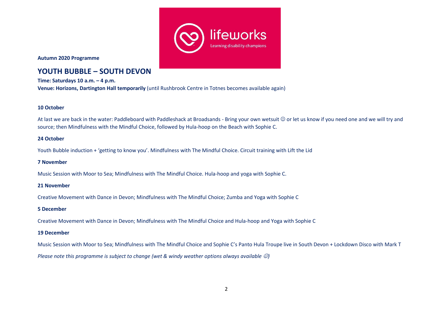

**Autumn 2020 Programme**

# **YOUTH BUBBLE – SOUTH DEVON**

**Time: Saturdays 10 a.m. – 4 p.m. Venue: Horizons, Dartington Hall temporarily** (until Rushbrook Centre in Totnes becomes available again)

#### **10 October**

At last we are back in the water: Paddleboard with Paddleshack at Broadsands - Bring your own wetsuit © or let us know if you need one and we will try and source; then Mindfulness with the Mindful Choice, followed by Hula-hoop on the Beach with Sophie C.

#### **24 October**

Youth Bubble induction + 'getting to know you'. Mindfulness with The Mindful Choice. Circuit training with Lift the Lid

#### **7 November**

Music Session with Moor to Sea; Mindfulness with The Mindful Choice. Hula-hoop and yoga with Sophie C.

#### **21 November**

Creative Movement with Dance in Devon; Mindfulness with The Mindful Choice; Zumba and Yoga with Sophie C

#### **5 December**

Creative Movement with Dance in Devon; Mindfulness with The Mindful Choice and Hula-hoop and Yoga with Sophie C

#### **19 December**

Music Session with Moor to Sea; Mindfulness with The Mindful Choice and Sophie C's Panto Hula Troupe live in South Devon + Lockdown Disco with Mark T

*Please note this programme is subject to change (wet & windy weather options always available* ☺*)*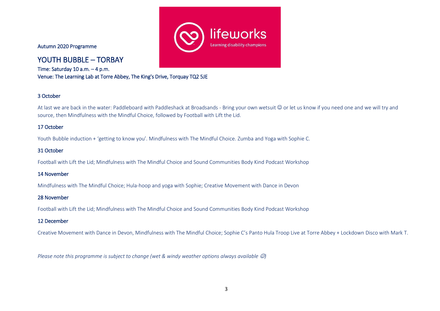Autumn 2020 Programme

# YOUTH BUBBLE – TORBAY

Time: Saturday 10 a.m. – 4 p.m. Venue: The Learning Lab at Torre Abbey, The King's Drive, Torquay TQ2 5JE

#### 3 October

At last we are back in the water: Paddleboard with Paddleshack at Broadsands - Bring your own wetsuit ☺ or let us know if you need one and we will try and source, then Mindfulness with the Mindful Choice, followed by Football with Lift the Lid.

#### 17 October

Youth Bubble induction + 'getting to know you'. Mindfulness with The Mindful Choice. Zumba and Yoga with Sophie C.

#### 31 October

Football with Lift the Lid; Mindfulness with The Mindful Choice and Sound Communities Body Kind Podcast Workshop

#### 14 November

Mindfulness with The Mindful Choice; Hula-hoop and yoga with Sophie; Creative Movement with Dance in Devon

#### 28 November

Football with Lift the Lid; Mindfulness with The Mindful Choice and Sound Communities Body Kind Podcast Workshop

#### 12 December

Creative Movement with Dance in Devon, Mindfulness with The Mindful Choice; Sophie C's Panto Hula Troop Live at Torre Abbey + Lockdown Disco with Mark T.

*Please note this programme is subject to change (wet & windy weather options always available*  $\heartsuit$ *)* 

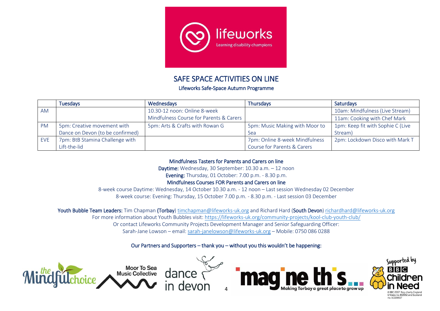

### SAFE SPACE ACTIVITIES ON LINE

Lifeworks Safe-Space Autumn Programme

|           | <b>Tuesdays</b>                  | Wednesdays                              | <b>Thursdays</b>               | <b>Saturdays</b>                  |
|-----------|----------------------------------|-----------------------------------------|--------------------------------|-----------------------------------|
| AM        |                                  | 10.30-12 noon: Online 8-week            |                                | 10am: Mindfulness (Live Stream)   |
|           |                                  | Mindfulness Course for Parents & Carers |                                | 11am: Cooking with Chef Mark      |
| <b>PM</b> | 5pm: Creative movement with      | 5pm: Arts & Crafts with Rowan G         | 5pm: Music Making with Moor to | 1pm: Keep fit with Sophie C (Live |
|           | Dance on Devon (to be confirmed) |                                         | <b>Sea</b>                     | Stream)                           |
| EVE       | 7pm: BtB Stamina Challenge with  |                                         | 7pm: Online 8-week Mindfulness | 2pm: Lockdown Disco with Mark T   |
|           | Lift-the-lid                     |                                         | Course for Parents & Carers    |                                   |

Mindfulness Tasters for Parents and Carers on line

Daytime: Wednesday, 30 September: 10.30 a.m. – 12 noon

Evening: Thursday, 01 October: 7.00 p.m. - 8.30 p.m.

Mindfulness Courses FOR Parents and Carers on line

8-week course Daytime: Wednesday, 14 October 10.30 a.m. - 12 noon – Last session Wednesday 02 December 8-week course: Evening: Thursday, 15 October 7.00 p.m. - 8.30 p.m. - Last session 03 December

Youth Bubble Team Leaders: Tim Chapman (Torbay[\) timchapman@lifeworks-uk.org](mailto:timchapman@lifeworks-uk.org) and Richard Hard (South Devon) [richardhard@lifeworks-uk.org](file:///C:/Users/Sarah-JaneLowson/AppData/Local/Microsoft/Windows/INetCache/Content.Outlook/0CIC1YW9/richardhard@lifeworks-uk.org)

For more information about Youth Bubbles visit: <https://lifeworks-uk.org/community-projects/kool-club-youth-club/>

Or contact Lifeworks Community Projects Development Manager and Senior Safeguarding Officer:

Sarah-Jane Lowson – email: [sarah-janelowson@lifeworks-uk.org](mailto:sarah-janelowson@lifeworks-uk.org) – Mobile: 0750 086 0288

#### Our Partners and Supporters – thank you – without you this wouldn't be happening:



no SC039557